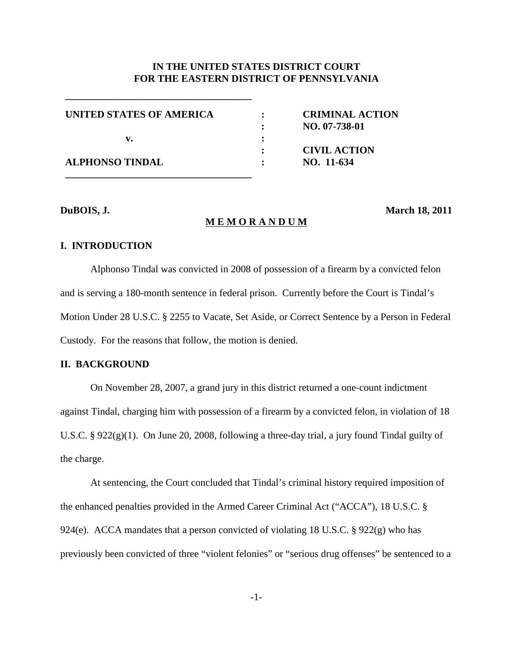# **IN THE UNITED STATES DISTRICT COURT FOR THE EASTERN DISTRICT OF PENNSYLVANIA**

| UNITED STATES OF AMERICA |   | <b>CRIMINAL ACTION</b><br>NO. 07-738-01 |
|--------------------------|---|-----------------------------------------|
| v.                       | : |                                         |
|                          |   | <b>CIVIL ACTION</b>                     |
| <b>ALPHONSO TINDAL</b>   |   | NO. 11-634                              |
|                          |   |                                         |

**\_\_\_\_\_\_\_\_\_\_\_\_\_\_\_\_\_\_\_\_\_\_\_\_\_\_\_\_\_\_\_\_\_\_\_\_\_**

#### **M E M O R A N D U M**

**DuBOIS, J. March 18, 2011**

## **I. INTRODUCTION**

Alphonso Tindal was convicted in 2008 of possession of a firearm by a convicted felon and is serving a 180-month sentence in federal prison. Currently before the Court is Tindal's Motion Under 28 U.S.C. § 2255 to Vacate, Set Aside, or Correct Sentence by a Person in Federal Custody. For the reasons that follow, the motion is denied.

# **II. BACKGROUND**

On November 28, 2007, a grand jury in this district returned a one-count indictment against Tindal, charging him with possession of a firearm by a convicted felon, in violation of 18 U.S.C. § 922(g)(1). On June 20, 2008, following a three-day trial, a jury found Tindal guilty of the charge.

At sentencing, the Court concluded that Tindal's criminal history required imposition of the enhanced penalties provided in the Armed Career Criminal Act ("ACCA"), 18 U.S.C. § 924(e). ACCA mandates that a person convicted of violating 18 U.S.C. § 922(g) who has previously been convicted of three "violent felonies" or "serious drug offenses" be sentenced to a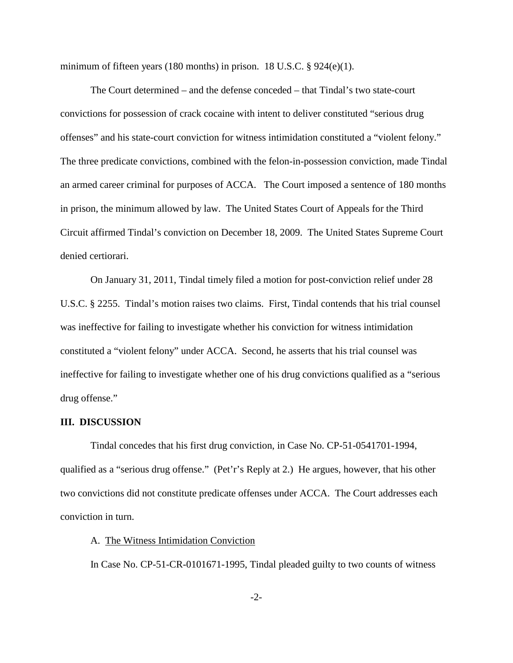minimum of fifteen years (180 months) in prison. 18 U.S.C. § 924(e)(1).

The Court determined – and the defense conceded – that Tindal's two state-court convictions for possession of crack cocaine with intent to deliver constituted "serious drug offenses" and his state-court conviction for witness intimidation constituted a "violent felony." The three predicate convictions, combined with the felon-in-possession conviction, made Tindal an armed career criminal for purposes of ACCA. The Court imposed a sentence of 180 months in prison, the minimum allowed by law. The United States Court of Appeals for the Third Circuit affirmed Tindal's conviction on December 18, 2009. The United States Supreme Court denied certiorari.

On January 31, 2011, Tindal timely filed a motion for post-conviction relief under 28 U.S.C. § 2255. Tindal's motion raises two claims. First, Tindal contends that his trial counsel was ineffective for failing to investigate whether his conviction for witness intimidation constituted a "violent felony" under ACCA. Second, he asserts that his trial counsel was ineffective for failing to investigate whether one of his drug convictions qualified as a "serious drug offense."

## **III. DISCUSSION**

Tindal concedes that his first drug conviction, in Case No. CP-51-0541701-1994, qualified as a "serious drug offense." (Pet'r's Reply at 2.) He argues, however, that his other two convictions did not constitute predicate offenses under ACCA. The Court addresses each conviction in turn.

## A. The Witness Intimidation Conviction

In Case No. CP-51-CR-0101671-1995, Tindal pleaded guilty to two counts of witness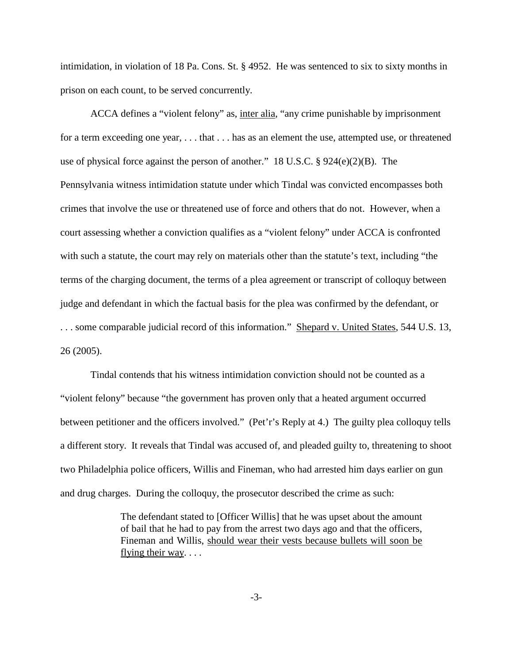intimidation, in violation of 18 Pa. Cons. St. § 4952. He was sentenced to six to sixty months in prison on each count, to be served concurrently.

ACCA defines a "violent felony" as, inter alia, "any crime punishable by imprisonment for a term exceeding one year, . . . that . . . has as an element the use, attempted use, or threatened use of physical force against the person of another." 18 U.S.C. § 924(e)(2)(B). The Pennsylvania witness intimidation statute under which Tindal was convicted encompasses both crimes that involve the use or threatened use of force and others that do not. However, when a court assessing whether a conviction qualifies as a "violent felony" under ACCA is confronted with such a statute, the court may rely on materials other than the statute's text, including "the terms of the charging document, the terms of a plea agreement or transcript of colloquy between judge and defendant in which the factual basis for the plea was confirmed by the defendant, or . . . some comparable judicial record of this information." Shepard v. United States, 544 U.S. 13, 26 (2005).

Tindal contends that his witness intimidation conviction should not be counted as a "violent felony" because "the government has proven only that a heated argument occurred between petitioner and the officers involved." (Pet'r's Reply at 4.) The guilty plea colloquy tells a different story. It reveals that Tindal was accused of, and pleaded guilty to, threatening to shoot two Philadelphia police officers, Willis and Fineman, who had arrested him days earlier on gun and drug charges. During the colloquy, the prosecutor described the crime as such:

> The defendant stated to [Officer Willis] that he was upset about the amount of bail that he had to pay from the arrest two days ago and that the officers, Fineman and Willis, should wear their vests because bullets will soon be flying their way. . . .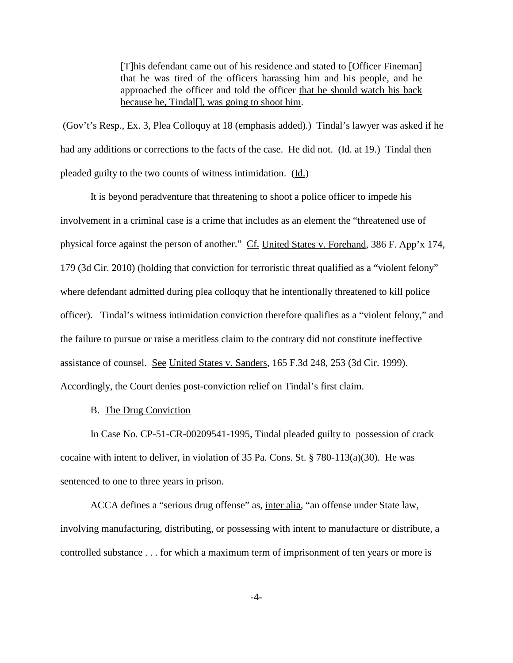[T]his defendant came out of his residence and stated to [Officer Fineman] that he was tired of the officers harassing him and his people, and he approached the officer and told the officer that he should watch his back because he, Tindal[], was going to shoot him.

(Gov't's Resp., Ex. 3, Plea Colloquy at 18 (emphasis added).) Tindal's lawyer was asked if he had any additions or corrections to the facts of the case. He did not. (Id. at 19.) Tindal then pleaded guilty to the two counts of witness intimidation. (Id.)

It is beyond peradventure that threatening to shoot a police officer to impede his involvement in a criminal case is a crime that includes as an element the "threatened use of physical force against the person of another." Cf. United States v. Forehand, 386 F. App'x 174, 179 (3d Cir. 2010) (holding that conviction for terroristic threat qualified as a "violent felony" where defendant admitted during plea colloquy that he intentionally threatened to kill police officer). Tindal's witness intimidation conviction therefore qualifies as a "violent felony," and the failure to pursue or raise a meritless claim to the contrary did not constitute ineffective assistance of counsel. See United States v. Sanders, 165 F.3d 248, 253 (3d Cir. 1999). Accordingly, the Court denies post-conviction relief on Tindal's first claim.

# B. The Drug Conviction

In Case No. CP-51-CR-00209541-1995, Tindal pleaded guilty to possession of crack cocaine with intent to deliver, in violation of 35 Pa. Cons. St. § 780-113(a)(30). He was sentenced to one to three years in prison.

ACCA defines a "serious drug offense" as, inter alia, "an offense under State law, involving manufacturing, distributing, or possessing with intent to manufacture or distribute, a controlled substance . . . for which a maximum term of imprisonment of ten years or more is

-4-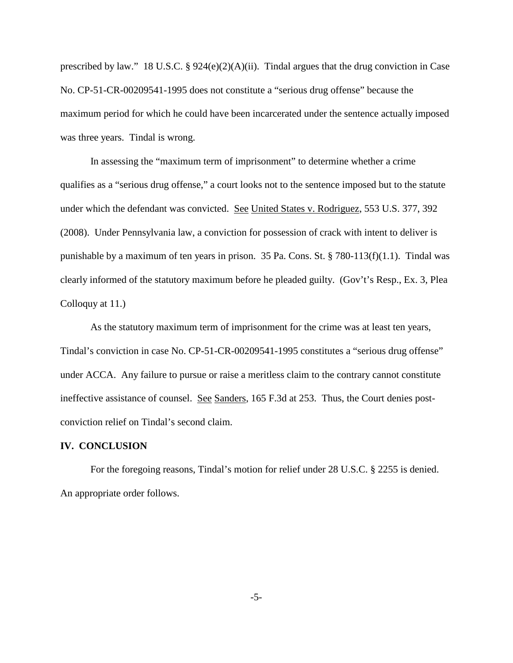prescribed by law." 18 U.S.C. § 924(e)(2)(A)(ii). Tindal argues that the drug conviction in Case No. CP-51-CR-00209541-1995 does not constitute a "serious drug offense" because the maximum period for which he could have been incarcerated under the sentence actually imposed was three years. Tindal is wrong.

In assessing the "maximum term of imprisonment" to determine whether a crime qualifies as a "serious drug offense," a court looks not to the sentence imposed but to the statute under which the defendant was convicted. See United States v. Rodriguez, 553 U.S. 377, 392 (2008). Under Pennsylvania law, a conviction for possession of crack with intent to deliver is punishable by a maximum of ten years in prison. 35 Pa. Cons. St. § 780-113(f)(1.1). Tindal was clearly informed of the statutory maximum before he pleaded guilty. (Gov't's Resp., Ex. 3, Plea Colloquy at 11.)

As the statutory maximum term of imprisonment for the crime was at least ten years, Tindal's conviction in case No. CP-51-CR-00209541-1995 constitutes a "serious drug offense" under ACCA. Any failure to pursue or raise a meritless claim to the contrary cannot constitute ineffective assistance of counsel. See Sanders, 165 F.3d at 253. Thus, the Court denies postconviction relief on Tindal's second claim.

### **IV. CONCLUSION**

For the foregoing reasons, Tindal's motion for relief under 28 U.S.C. § 2255 is denied. An appropriate order follows.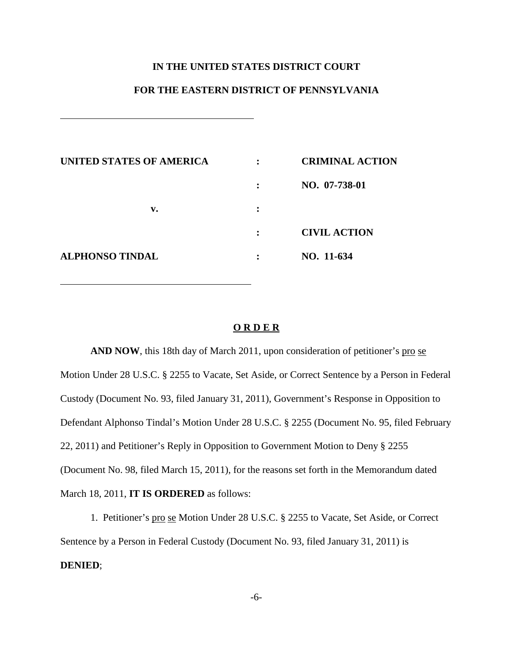# **IN THE UNITED STATES DISTRICT COURT**

# **FOR THE EASTERN DISTRICT OF PENNSYLVANIA**

| UNITED STATES OF AMERICA | $\ddot{\cdot}$ | <b>CRIMINAL ACTION</b> |
|--------------------------|----------------|------------------------|
|                          | :              | NO. 07-738-01          |
| v.                       | ٠<br>$\bullet$ |                        |
|                          |                | <b>CIVIL ACTION</b>    |
| <b>ALPHONSO TINDAL</b>   |                | NO. 11-634             |
|                          |                |                        |

#### **O R D E R**

**AND NOW**, this 18th day of March 2011, upon consideration of petitioner's pro se Motion Under 28 U.S.C. § 2255 to Vacate, Set Aside, or Correct Sentence by a Person in Federal Custody (Document No. 93, filed January 31, 2011), Government's Response in Opposition to Defendant Alphonso Tindal's Motion Under 28 U.S.C. § 2255 (Document No. 95, filed February 22, 2011) and Petitioner's Reply in Opposition to Government Motion to Deny § 2255 (Document No. 98, filed March 15, 2011), for the reasons set forth in the Memorandum dated March 18, 2011, **IT IS ORDERED** as follows:

1. Petitioner's pro se Motion Under 28 U.S.C. § 2255 to Vacate, Set Aside, or Correct Sentence by a Person in Federal Custody (Document No. 93, filed January 31, 2011) is **DENIED**;